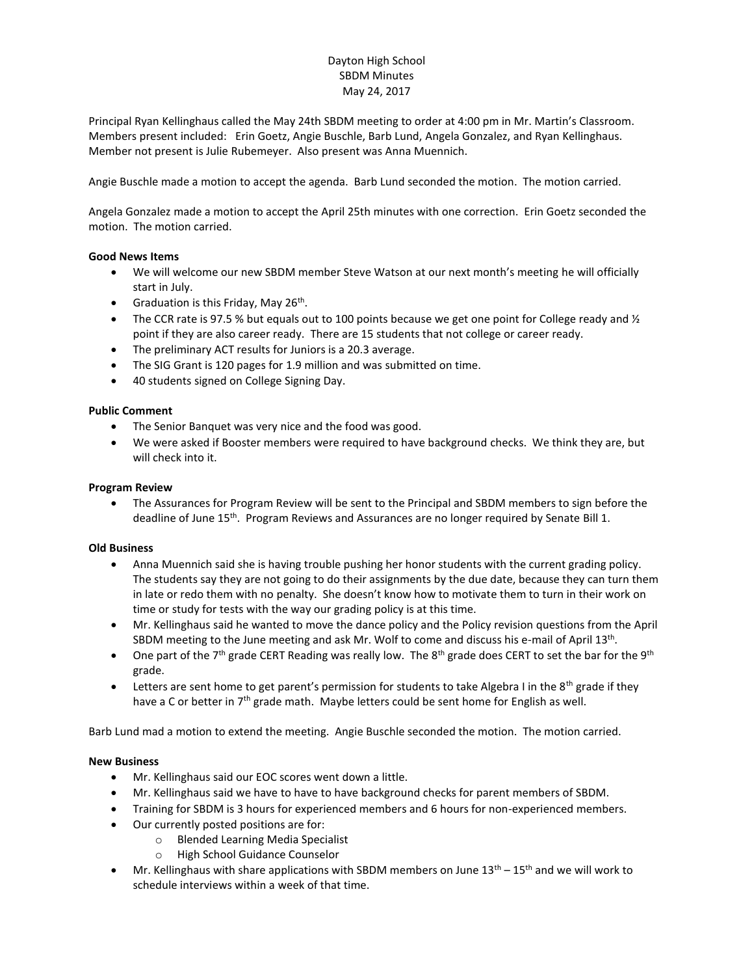# Dayton High School SBDM Minutes May 24, 2017

Principal Ryan Kellinghaus called the May 24th SBDM meeting to order at 4:00 pm in Mr. Martin's Classroom. Members present included: Erin Goetz, Angie Buschle, Barb Lund, Angela Gonzalez, and Ryan Kellinghaus. Member not present is Julie Rubemeyer. Also present was Anna Muennich.

Angie Buschle made a motion to accept the agenda. Barb Lund seconded the motion. The motion carried.

Angela Gonzalez made a motion to accept the April 25th minutes with one correction. Erin Goetz seconded the motion. The motion carried.

## **Good News Items**

- We will welcome our new SBDM member Steve Watson at our next month's meeting he will officially start in July.
- Graduation is this Friday, May 26<sup>th</sup>.
- The CCR rate is 97.5 % but equals out to 100 points because we get one point for College ready and  $\frac{1}{2}$ point if they are also career ready. There are 15 students that not college or career ready.
- The preliminary ACT results for Juniors is a 20.3 average.
- The SIG Grant is 120 pages for 1.9 million and was submitted on time.
- 40 students signed on College Signing Day.

### **Public Comment**

- The Senior Banquet was very nice and the food was good.
- We were asked if Booster members were required to have background checks. We think they are, but will check into it.

### **Program Review**

 The Assurances for Program Review will be sent to the Principal and SBDM members to sign before the deadline of June 15<sup>th</sup>. Program Reviews and Assurances are no longer required by Senate Bill 1.

### **Old Business**

- Anna Muennich said she is having trouble pushing her honor students with the current grading policy. The students say they are not going to do their assignments by the due date, because they can turn them in late or redo them with no penalty. She doesn't know how to motivate them to turn in their work on time or study for tests with the way our grading policy is at this time.
- Mr. Kellinghaus said he wanted to move the dance policy and the Policy revision questions from the April SBDM meeting to the June meeting and ask Mr. Wolf to come and discuss his e-mail of April 13<sup>th</sup>.
- One part of the 7<sup>th</sup> grade CERT Reading was really low. The 8<sup>th</sup> grade does CERT to set the bar for the 9<sup>th</sup> grade.
- Letters are sent home to get parent's permission for students to take Algebra I in the 8<sup>th</sup> grade if they have a C or better in  $7<sup>th</sup>$  grade math. Maybe letters could be sent home for English as well.

Barb Lund mad a motion to extend the meeting. Angie Buschle seconded the motion. The motion carried.

### **New Business**

- Mr. Kellinghaus said our EOC scores went down a little.
- Mr. Kellinghaus said we have to have to have background checks for parent members of SBDM.
- Training for SBDM is 3 hours for experienced members and 6 hours for non-experienced members.
- Our currently posted positions are for:
	- o Blended Learning Media Specialist
	- o High School Guidance Counselor
- **Mr.** Kellinghaus with share applications with SBDM members on June  $13<sup>th</sup> 15<sup>th</sup>$  and we will work to schedule interviews within a week of that time.